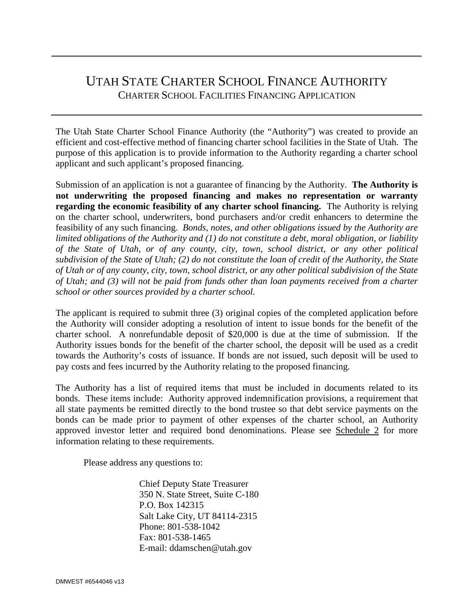# UTAH STATE CHARTER SCHOOL FINANCE AUTHORITY CHARTER SCHOOL FACILITIES FINANCING APPLICATION

The Utah State Charter School Finance Authority (the "Authority") was created to provide an efficient and cost-effective method of financing charter school facilities in the State of Utah. The purpose of this application is to provide information to the Authority regarding a charter school applicant and such applicant's proposed financing.

Submission of an application is not a guarantee of financing by the Authority. **The Authority is not underwriting the proposed financing and makes no representation or warranty regarding the economic feasibility of any charter school financing.** The Authority is relying on the charter school, underwriters, bond purchasers and/or credit enhancers to determine the feasibility of any such financing. *Bonds, notes, and other obligations issued by the Authority are limited obligations of the Authority and (1) do not constitute a debt, moral obligation, or liability of the State of Utah, or of any county, city, town, school district, or any other political subdivision of the State of Utah; (2) do not constitute the loan of credit of the Authority, the State of Utah or of any county, city, town, school district, or any other political subdivision of the State of Utah; and (3) will not be paid from funds other than loan payments received from a charter school or other sources provided by a charter school.*

The applicant is required to submit three (3) original copies of the completed application before the Authority will consider adopting a resolution of intent to issue bonds for the benefit of the charter school. A nonrefundable deposit of \$20,000 is due at the time of submission. If the Authority issues bonds for the benefit of the charter school, the deposit will be used as a credit towards the Authority's costs of issuance. If bonds are not issued, such deposit will be used to pay costs and fees incurred by the Authority relating to the proposed financing.

The Authority has a list of required items that must be included in documents related to its bonds. These items include: Authority approved indemnification provisions, a requirement that all state payments be remitted directly to the bond trustee so that debt service payments on the bonds can be made prior to payment of other expenses of the charter school, an Authority approved investor letter and required bond denominations. Please see Schedule 2 for more information relating to these requirements.

Please address any questions to:

 Chief Deputy State Treasurer 350 N. State Street, Suite C-180 P.O. Box 142315 Salt Lake City, UT 84114-2315 Phone: 801-538-1042 Fax: 801-538-1465 E-mail: ddamschen@utah.gov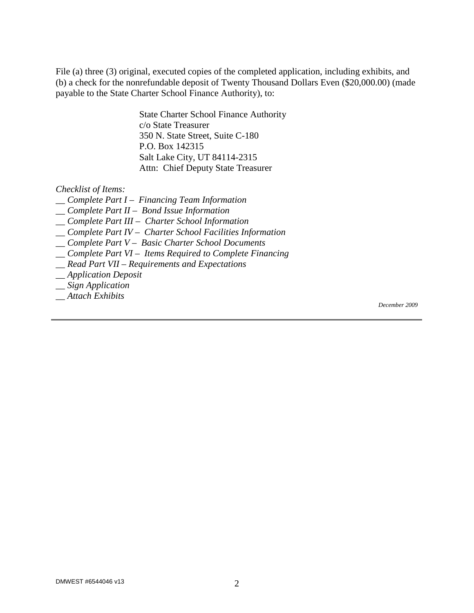File (a) three (3) original, executed copies of the completed application, including exhibits, and (b) a check for the nonrefundable deposit of Twenty Thousand Dollars Even (\$20,000.00) (made payable to the State Charter School Finance Authority), to:

> State Charter School Finance Authority c/o State Treasurer 350 N. State Street, Suite C-180 P.O. Box 142315 Salt Lake City, UT 84114-2315 Attn: Chief Deputy State Treasurer

#### *Checklist of Items:*

- *\_\_ Complete Part I Financing Team Information*
- *\_\_ Complete Part II Bond Issue Information*
- *\_\_ Complete Part III Charter School Information*
- *\_\_ Complete Part IV Charter School Facilities Information*
- *\_\_ Complete Part V Basic Charter School Documents*
- *\_\_ Complete Part VI Items Required to Complete Financing*
- *\_\_ Read Part VII Requirements and Expectations*
- *\_\_ Application Deposit*
- *\_\_ Sign Application*
- *\_\_ Attach Exhibits*

*December 2009*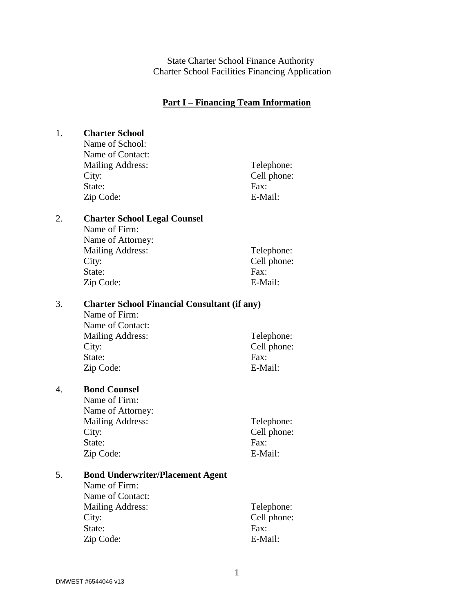State Charter School Finance Authority Charter School Facilities Financing Application

### **Part I – Financing Team Information**

| 1. | <b>Charter School</b>                                    |                     |  |  |  |  |  |  |  |  |
|----|----------------------------------------------------------|---------------------|--|--|--|--|--|--|--|--|
|    | Name of School:                                          |                     |  |  |  |  |  |  |  |  |
|    | Name of Contact:                                         |                     |  |  |  |  |  |  |  |  |
|    | <b>Mailing Address:</b>                                  | Telephone:          |  |  |  |  |  |  |  |  |
|    | City:                                                    | Cell phone:         |  |  |  |  |  |  |  |  |
|    | State:                                                   | Fax:                |  |  |  |  |  |  |  |  |
|    | Zip Code:                                                | E-Mail:             |  |  |  |  |  |  |  |  |
|    |                                                          |                     |  |  |  |  |  |  |  |  |
| 2. | <b>Charter School Legal Counsel</b>                      |                     |  |  |  |  |  |  |  |  |
|    | Name of Firm:                                            |                     |  |  |  |  |  |  |  |  |
|    | Name of Attorney:                                        |                     |  |  |  |  |  |  |  |  |
|    | <b>Mailing Address:</b>                                  | Telephone:          |  |  |  |  |  |  |  |  |
|    | City:                                                    | Cell phone:         |  |  |  |  |  |  |  |  |
|    | State:                                                   | Fax:                |  |  |  |  |  |  |  |  |
|    | Zip Code:                                                | E-Mail:             |  |  |  |  |  |  |  |  |
|    |                                                          |                     |  |  |  |  |  |  |  |  |
| 3. | <b>Charter School Financial Consultant (if any)</b>      |                     |  |  |  |  |  |  |  |  |
|    | Name of Firm:                                            |                     |  |  |  |  |  |  |  |  |
|    | Name of Contact:                                         |                     |  |  |  |  |  |  |  |  |
|    | <b>Mailing Address:</b>                                  | Telephone:          |  |  |  |  |  |  |  |  |
|    | City:                                                    | Cell phone:         |  |  |  |  |  |  |  |  |
|    | State:                                                   | Fax:                |  |  |  |  |  |  |  |  |
|    | Zip Code:                                                | E-Mail:             |  |  |  |  |  |  |  |  |
|    |                                                          |                     |  |  |  |  |  |  |  |  |
| 4. | <b>Bond Counsel</b>                                      |                     |  |  |  |  |  |  |  |  |
|    | Name of Firm:                                            |                     |  |  |  |  |  |  |  |  |
|    | Name of Attorney:                                        |                     |  |  |  |  |  |  |  |  |
|    | <b>Mailing Address:</b>                                  | Telephone:          |  |  |  |  |  |  |  |  |
|    | City:                                                    | Cell phone:         |  |  |  |  |  |  |  |  |
|    | State:                                                   | Fax:                |  |  |  |  |  |  |  |  |
|    | Zip Code:                                                | E-Mail:             |  |  |  |  |  |  |  |  |
|    |                                                          |                     |  |  |  |  |  |  |  |  |
| 5. | <b>Bond Underwriter/Placement Agent</b><br>Name of Firm: |                     |  |  |  |  |  |  |  |  |
|    | Name of Contact:                                         |                     |  |  |  |  |  |  |  |  |
|    |                                                          |                     |  |  |  |  |  |  |  |  |
|    | <b>Mailing Address:</b>                                  | Telephone:          |  |  |  |  |  |  |  |  |
|    | City:                                                    | Cell phone:<br>Fax: |  |  |  |  |  |  |  |  |
|    | State:                                                   |                     |  |  |  |  |  |  |  |  |
|    | Zip Code:                                                | E-Mail:             |  |  |  |  |  |  |  |  |
|    |                                                          |                     |  |  |  |  |  |  |  |  |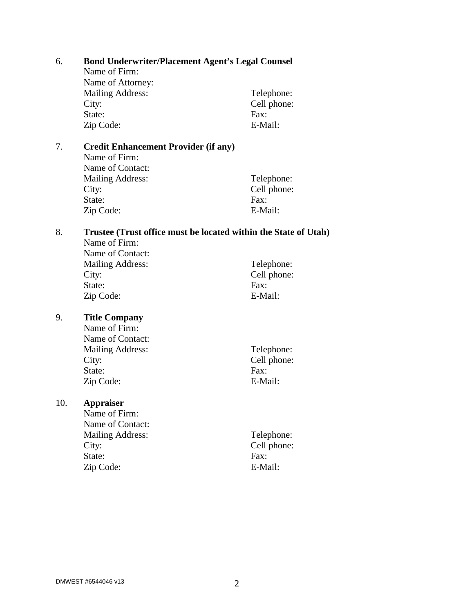| 6.  | <b>Bond Underwriter/Placement Agent's Legal Counsel</b>         |             |  |  |  |  |  |  |  |  |
|-----|-----------------------------------------------------------------|-------------|--|--|--|--|--|--|--|--|
|     | Name of Firm:                                                   |             |  |  |  |  |  |  |  |  |
|     | Name of Attorney:                                               |             |  |  |  |  |  |  |  |  |
|     | <b>Mailing Address:</b>                                         | Telephone:  |  |  |  |  |  |  |  |  |
|     | City:                                                           | Cell phone: |  |  |  |  |  |  |  |  |
|     | State:                                                          | Fax:        |  |  |  |  |  |  |  |  |
|     | Zip Code:                                                       | E-Mail:     |  |  |  |  |  |  |  |  |
| 7.  | <b>Credit Enhancement Provider (if any)</b>                     |             |  |  |  |  |  |  |  |  |
|     | Name of Firm:                                                   |             |  |  |  |  |  |  |  |  |
|     | Name of Contact:                                                |             |  |  |  |  |  |  |  |  |
|     | <b>Mailing Address:</b>                                         | Telephone:  |  |  |  |  |  |  |  |  |
|     | City:                                                           | Cell phone: |  |  |  |  |  |  |  |  |
|     | State:                                                          | Fax:        |  |  |  |  |  |  |  |  |
|     | Zip Code:                                                       | E-Mail:     |  |  |  |  |  |  |  |  |
| 8.  | Trustee (Trust office must be located within the State of Utah) |             |  |  |  |  |  |  |  |  |
|     | Name of Firm:                                                   |             |  |  |  |  |  |  |  |  |
|     | Name of Contact:                                                |             |  |  |  |  |  |  |  |  |
|     | <b>Mailing Address:</b>                                         | Telephone:  |  |  |  |  |  |  |  |  |
|     | City:                                                           | Cell phone: |  |  |  |  |  |  |  |  |
|     | State:                                                          | Fax:        |  |  |  |  |  |  |  |  |
|     | Zip Code:                                                       | E-Mail:     |  |  |  |  |  |  |  |  |
| 9.  | <b>Title Company</b>                                            |             |  |  |  |  |  |  |  |  |
|     | Name of Firm:                                                   |             |  |  |  |  |  |  |  |  |
|     | Name of Contact:                                                |             |  |  |  |  |  |  |  |  |
|     | <b>Mailing Address:</b>                                         | Telephone:  |  |  |  |  |  |  |  |  |
|     | City:                                                           | Cell phone: |  |  |  |  |  |  |  |  |
|     | State:                                                          | Fax:        |  |  |  |  |  |  |  |  |
|     | Zip Code:                                                       | E-Mail:     |  |  |  |  |  |  |  |  |
| 10. | <b>Appraiser</b>                                                |             |  |  |  |  |  |  |  |  |
|     | Name of Firm:                                                   |             |  |  |  |  |  |  |  |  |
|     | Name of Contact:                                                |             |  |  |  |  |  |  |  |  |
|     | <b>Mailing Address:</b>                                         | Telephone:  |  |  |  |  |  |  |  |  |
|     | City:                                                           | Cell phone: |  |  |  |  |  |  |  |  |
|     | State:                                                          | Fax:        |  |  |  |  |  |  |  |  |
|     | Zip Code:                                                       | E-Mail:     |  |  |  |  |  |  |  |  |
|     |                                                                 |             |  |  |  |  |  |  |  |  |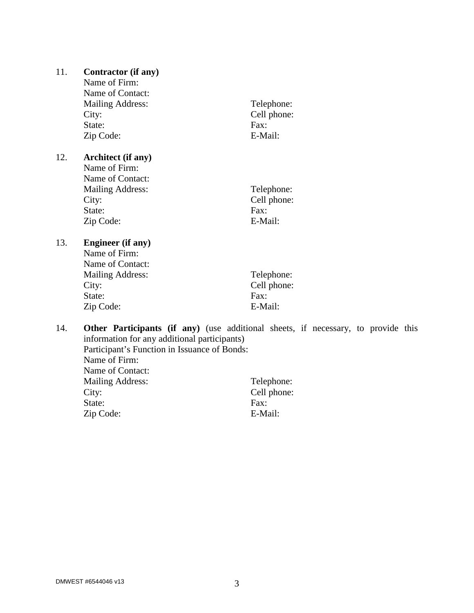| 11. | <b>Contractor (if any)</b><br>Name of Firm:<br>Name of Contact:<br><b>Mailing Address:</b><br>City:<br>State:<br>Zip Code: | Telephone:<br>Cell phone:<br>$\text{Fax}$<br>E-Mail: |
|-----|----------------------------------------------------------------------------------------------------------------------------|------------------------------------------------------|
| 12. | <b>Architect</b> (if any)<br>Name of Firm:<br>Name of Contact:<br><b>Mailing Address:</b><br>City:<br>State:<br>Zip Code:  | Telephone:<br>Cell phone:<br>$\text{Fax}$<br>E-Mail: |
| 13. | <b>Engineer</b> (if any)<br>Name of Firm:<br>Name of Contact:<br><b>Mailing Address:</b><br>City:<br>State:<br>Zip Code:   | Telephone:<br>Cell phone:<br>Fax:<br>E-Mail:         |

### 14. **Other Participants (if any)** (use additional sheets, if necessary, to provide this information for any additional participants) Participant's Function in Issuance of Bonds: Name of Firm:

| Name of Contact:        |               |
|-------------------------|---------------|
| <b>Mailing Address:</b> | Telephone:    |
| City:                   | Cell phone:   |
| State:                  | $\text{Fax}:$ |
| Zip Code:               | E-Mail:       |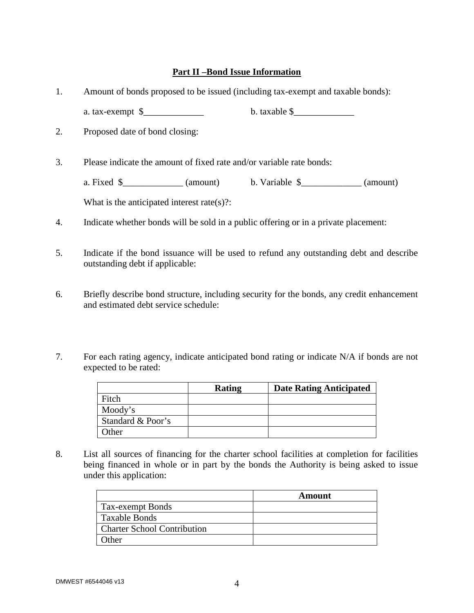#### **Part II –Bond Issue Information**

- 1. Amount of bonds proposed to be issued (including tax-exempt and taxable bonds): a. tax-exempt  $\frac{1}{2}$  b. taxable  $\frac{1}{2}$
- 2. Proposed date of bond closing:

3. Please indicate the amount of fixed rate and/or variable rate bonds:

a. Fixed  $\frac{\sqrt{a}}{2}$  (amount) b. Variable  $\frac{\sqrt{a}}{2}$  (amount)

What is the anticipated interest rate(s)?:

- 4. Indicate whether bonds will be sold in a public offering or in a private placement:
- 5. Indicate if the bond issuance will be used to refund any outstanding debt and describe outstanding debt if applicable:
- 6. Briefly describe bond structure, including security for the bonds, any credit enhancement and estimated debt service schedule:
- 7. For each rating agency, indicate anticipated bond rating or indicate N/A if bonds are not expected to be rated:

|                   | <b>Rating</b> | <b>Date Rating Anticipated</b> |
|-------------------|---------------|--------------------------------|
| Fitch             |               |                                |
| Moody's           |               |                                |
| Standard & Poor's |               |                                |
| Other             |               |                                |

8. List all sources of financing for the charter school facilities at completion for facilities being financed in whole or in part by the bonds the Authority is being asked to issue under this application:

|                                    | Amount |
|------------------------------------|--------|
| Tax-exempt Bonds                   |        |
| Taxable Bonds                      |        |
| <b>Charter School Contribution</b> |        |
| Other                              |        |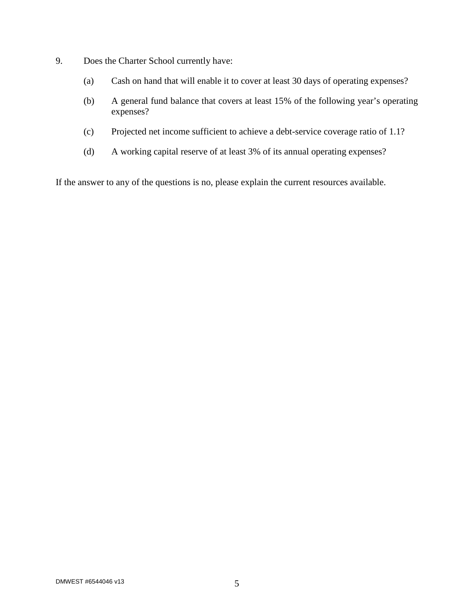- 9. Does the Charter School currently have:
	- (a) Cash on hand that will enable it to cover at least 30 days of operating expenses?
	- (b) A general fund balance that covers at least 15% of the following year's operating expenses?
	- (c) Projected net income sufficient to achieve a debt-service coverage ratio of 1.1?
	- (d) A working capital reserve of at least 3% of its annual operating expenses?

If the answer to any of the questions is no, please explain the current resources available.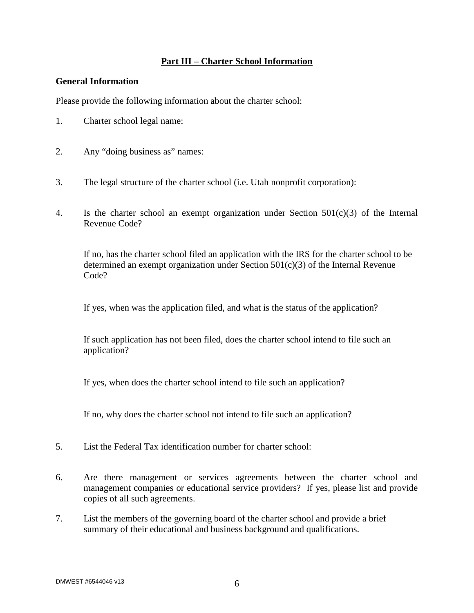#### **Part III – Charter School Information**

#### **General Information**

Please provide the following information about the charter school:

- 1. Charter school legal name:
- 2. Any "doing business as" names:
- 3. The legal structure of the charter school (i.e. Utah nonprofit corporation):
- 4. Is the charter school an exempt organization under Section 501(c)(3) of the Internal Revenue Code?

If no, has the charter school filed an application with the IRS for the charter school to be determined an exempt organization under Section 501(c)(3) of the Internal Revenue Code?

If yes, when was the application filed, and what is the status of the application?

If such application has not been filed, does the charter school intend to file such an application?

If yes, when does the charter school intend to file such an application?

If no, why does the charter school not intend to file such an application?

- 5. List the Federal Tax identification number for charter school:
- 6. Are there management or services agreements between the charter school and management companies or educational service providers? If yes, please list and provide copies of all such agreements.
- 7. List the members of the governing board of the charter school and provide a brief summary of their educational and business background and qualifications.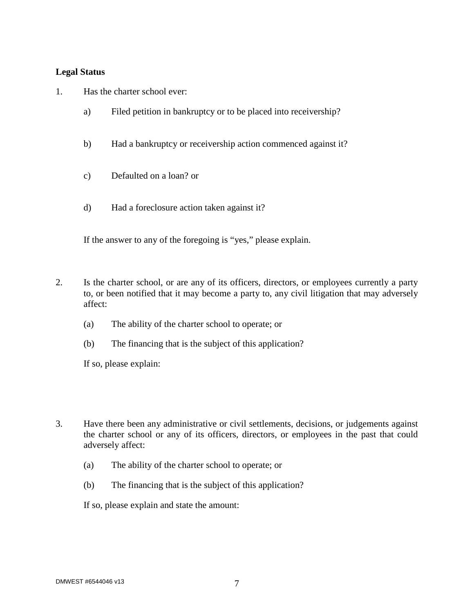#### **Legal Status**

- 1. Has the charter school ever:
	- a) Filed petition in bankruptcy or to be placed into receivership?
	- b) Had a bankruptcy or receivership action commenced against it?
	- c) Defaulted on a loan? or
	- d) Had a foreclosure action taken against it?

If the answer to any of the foregoing is "yes," please explain.

- 2. Is the charter school, or are any of its officers, directors, or employees currently a party to, or been notified that it may become a party to, any civil litigation that may adversely affect:
	- (a) The ability of the charter school to operate; or
	- (b) The financing that is the subject of this application?

If so, please explain:

- 3. Have there been any administrative or civil settlements, decisions, or judgements against the charter school or any of its officers, directors, or employees in the past that could adversely affect:
	- (a) The ability of the charter school to operate; or
	- (b) The financing that is the subject of this application?

If so, please explain and state the amount: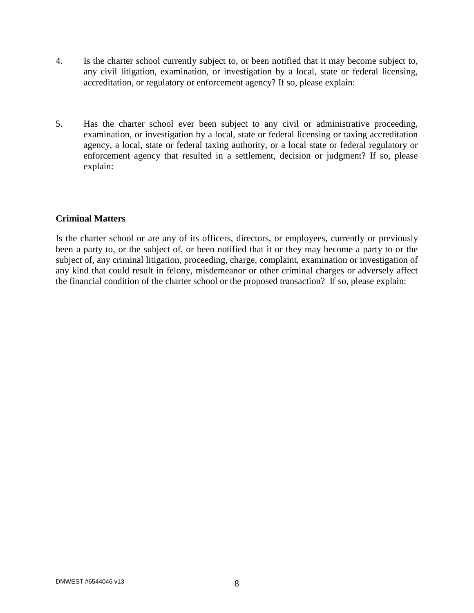- 4. Is the charter school currently subject to, or been notified that it may become subject to, any civil litigation, examination, or investigation by a local, state or federal licensing, accreditation, or regulatory or enforcement agency? If so, please explain:
- 5. Has the charter school ever been subject to any civil or administrative proceeding, examination, or investigation by a local, state or federal licensing or taxing accreditation agency, a local, state or federal taxing authority, or a local state or federal regulatory or enforcement agency that resulted in a settlement, decision or judgment? If so, please explain:

#### **Criminal Matters**

Is the charter school or are any of its officers, directors, or employees, currently or previously been a party to, or the subject of, or been notified that it or they may become a party to or the subject of, any criminal litigation, proceeding, charge, complaint, examination or investigation of any kind that could result in felony, misdemeanor or other criminal charges or adversely affect the financial condition of the charter school or the proposed transaction? If so, please explain: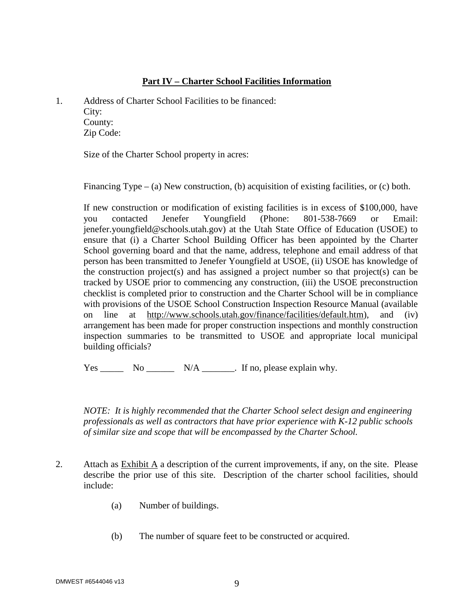#### **Part IV – Charter School Facilities Information**

1. Address of Charter School Facilities to be financed: City: County:

Zip Code:

Size of the Charter School property in acres:

Financing Type – (a) New construction, (b) acquisition of existing facilities, or (c) both.

If new construction or modification of existing facilities is in excess of \$100,000, have you contacted Jenefer Youngfield (Phone: 801-538-7669 or Email: jenefer.youngfield@schools.utah.gov) at the Utah State Office of Education (USOE) to ensure that (i) a Charter School Building Officer has been appointed by the Charter School governing board and that the name, address, telephone and email address of that person has been transmitted to Jenefer Youngfield at USOE, (ii) USOE has knowledge of the construction project(s) and has assigned a project number so that project(s) can be tracked by USOE prior to commencing any construction, (iii) the USOE preconstruction checklist is completed prior to construction and the Charter School will be in compliance with provisions of the USOE School Construction Inspection Resource Manual (available on line at http://www.schools.utah.gov/finance/facilities/default.htm), and (iv) arrangement has been made for proper construction inspections and monthly construction inspection summaries to be transmitted to USOE and appropriate local municipal building officials?

 $Yes \_\_\_\_\_$  No  $\_\_\_\_\_$  N/A  $\_\_\_\_\_\.\$  If no, please explain why.

*NOTE: It is highly recommended that the Charter School select design and engineering professionals as well as contractors that have prior experience with K-12 public schools of similar size and scope that will be encompassed by the Charter School.* 

- 2. Attach as Exhibit A a description of the current improvements, if any, on the site. Please describe the prior use of this site. Description of the charter school facilities, should include:
	- (a) Number of buildings.
	- (b) The number of square feet to be constructed or acquired.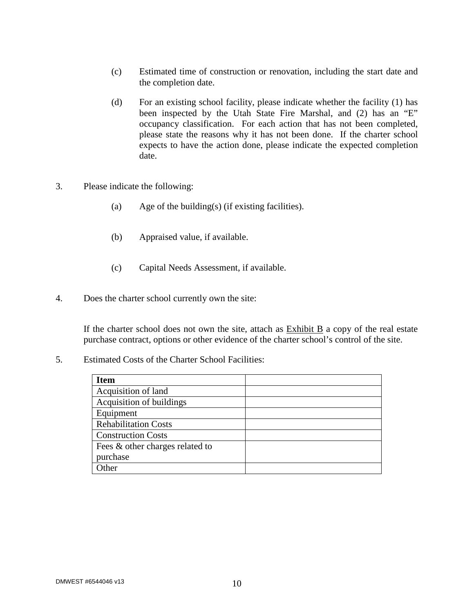- (c) Estimated time of construction or renovation, including the start date and the completion date.
- (d) For an existing school facility, please indicate whether the facility (1) has been inspected by the Utah State Fire Marshal, and (2) has an "E" occupancy classification. For each action that has not been completed, please state the reasons why it has not been done. If the charter school expects to have the action done, please indicate the expected completion date.
- 3. Please indicate the following:
	- (a) Age of the building(s) (if existing facilities).
	- (b) Appraised value, if available.
	- (c) Capital Needs Assessment, if available.
- 4. Does the charter school currently own the site:

If the charter school does not own the site, attach as  $Exhibit B$  a copy of the real estate purchase contract, options or other evidence of the charter school's control of the site.

5. Estimated Costs of the Charter School Facilities:

| <b>Item</b>                     |  |
|---------------------------------|--|
| Acquisition of land             |  |
| Acquisition of buildings        |  |
| Equipment                       |  |
| <b>Rehabilitation Costs</b>     |  |
| <b>Construction Costs</b>       |  |
| Fees & other charges related to |  |
| purchase                        |  |
| . Ither                         |  |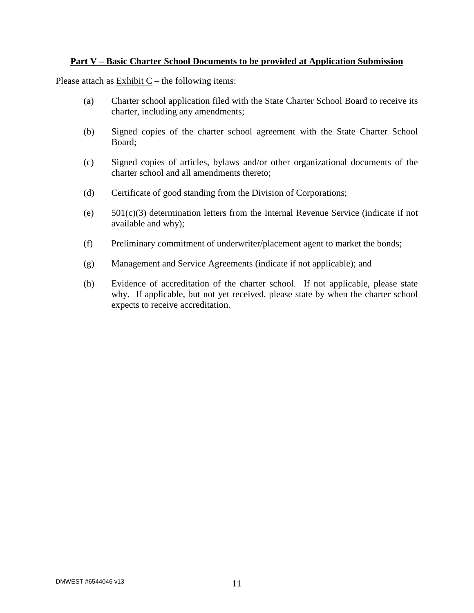#### **Part V – Basic Charter School Documents to be provided at Application Submission**

Please attach as  $\overline{\text{Exhibit C}}$  – the following items:

- (a) Charter school application filed with the State Charter School Board to receive its charter, including any amendments;
- (b) Signed copies of the charter school agreement with the State Charter School Board;
- (c) Signed copies of articles, bylaws and/or other organizational documents of the charter school and all amendments thereto;
- (d) Certificate of good standing from the Division of Corporations;
- (e) 501(c)(3) determination letters from the Internal Revenue Service (indicate if not available and why);
- (f) Preliminary commitment of underwriter/placement agent to market the bonds;
- (g) Management and Service Agreements (indicate if not applicable); and
- (h) Evidence of accreditation of the charter school. If not applicable, please state why. If applicable, but not yet received, please state by when the charter school expects to receive accreditation.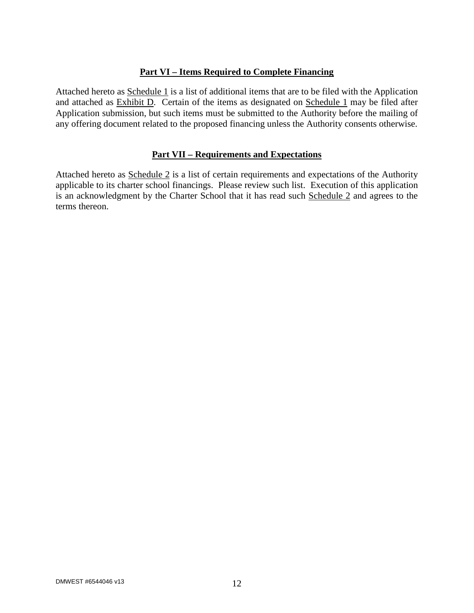#### **Part VI – Items Required to Complete Financing**

Attached hereto as Schedule 1 is a list of additional items that are to be filed with the Application and attached as Exhibit D. Certain of the items as designated on Schedule 1 may be filed after Application submission, but such items must be submitted to the Authority before the mailing of any offering document related to the proposed financing unless the Authority consents otherwise.

#### **Part VII – Requirements and Expectations**

Attached hereto as Schedule 2 is a list of certain requirements and expectations of the Authority applicable to its charter school financings. Please review such list. Execution of this application is an acknowledgment by the Charter School that it has read such Schedule 2 and agrees to the terms thereon.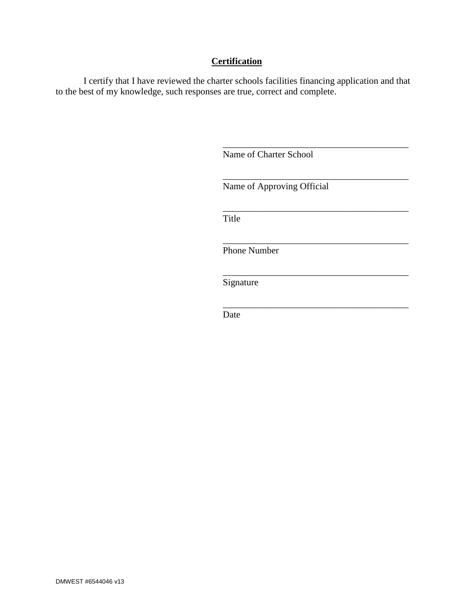### **Certification**

I certify that I have reviewed the charter schools facilities financing application and that to the best of my knowledge, such responses are true, correct and complete.

Name of Charter School

\_\_\_\_\_\_\_\_\_\_\_\_\_\_\_\_\_\_\_\_\_\_\_\_\_\_\_\_\_\_\_\_\_\_\_\_\_\_\_\_ Name of Approving Official

\_\_\_\_\_\_\_\_\_\_\_\_\_\_\_\_\_\_\_\_\_\_\_\_\_\_\_\_\_\_\_\_\_\_\_\_\_\_\_\_

\_\_\_\_\_\_\_\_\_\_\_\_\_\_\_\_\_\_\_\_\_\_\_\_\_\_\_\_\_\_\_\_\_\_\_\_\_\_\_\_

\_\_\_\_\_\_\_\_\_\_\_\_\_\_\_\_\_\_\_\_\_\_\_\_\_\_\_\_\_\_\_\_\_\_\_\_\_\_\_\_

\_\_\_\_\_\_\_\_\_\_\_\_\_\_\_\_\_\_\_\_\_\_\_\_\_\_\_\_\_\_\_\_\_\_\_\_\_\_\_\_

\_\_\_\_\_\_\_\_\_\_\_\_\_\_\_\_\_\_\_\_\_\_\_\_\_\_\_\_\_\_\_\_\_\_\_\_\_\_\_\_

Title

Phone Number

Signature

Date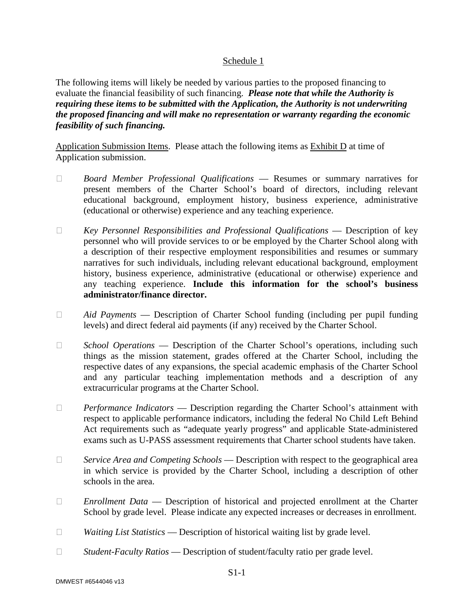#### Schedule 1

The following items will likely be needed by various parties to the proposed financing to evaluate the financial feasibility of such financing. *Please note that while the Authority is requiring these items to be submitted with the Application, the Authority is not underwriting the proposed financing and will make no representation or warranty regarding the economic feasibility of such financing.* 

Application Submission Items. Please attach the following items as Exhibit D at time of Application submission.

- *Board Member Professional Qualifications* Resumes or summary narratives for present members of the Charter School's board of directors, including relevant educational background, employment history, business experience, administrative (educational or otherwise) experience and any teaching experience.
- *Key Personnel Responsibilities and Professional Qualifications* Description of key personnel who will provide services to or be employed by the Charter School along with a description of their respective employment responsibilities and resumes or summary narratives for such individuals, including relevant educational background, employment history, business experience, administrative (educational or otherwise) experience and any teaching experience. **Include this information for the school's business administrator/finance director.**
- *Aid Payments* Description of Charter School funding (including per pupil funding levels) and direct federal aid payments (if any) received by the Charter School.
- *School Operations* Description of the Charter School's operations, including such things as the mission statement, grades offered at the Charter School, including the respective dates of any expansions, the special academic emphasis of the Charter School and any particular teaching implementation methods and a description of any extracurricular programs at the Charter School.
- □ *Performance Indicators* Description regarding the Charter School's attainment with respect to applicable performance indicators, including the federal No Child Left Behind Act requirements such as "adequate yearly progress" and applicable State-administered exams such as U-PASS assessment requirements that Charter school students have taken.
- *Service Area and Competing Schools* Description with respect to the geographical area in which service is provided by the Charter School, including a description of other schools in the area.
- *Enrollment Data* Description of historical and projected enrollment at the Charter School by grade level. Please indicate any expected increases or decreases in enrollment.
- *Waiting List Statistics* Description of historical waiting list by grade level.
- *Student-Faculty Ratios* Description of student/faculty ratio per grade level.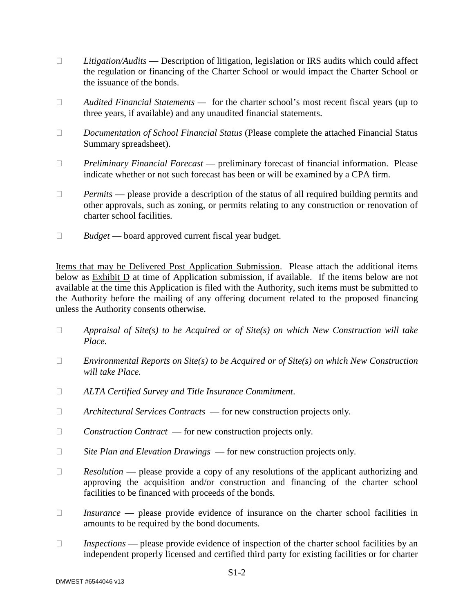- *Litigation/Audits* Description of litigation, legislation or IRS audits which could affect the regulation or financing of the Charter School or would impact the Charter School or the issuance of the bonds.
- *Audited Financial Statements* for the charter school's most recent fiscal years (up to three years, if available) and any unaudited financial statements.
- *Documentation of School Financial Status* (Please complete the attached Financial Status Summary spreadsheet).
- *Preliminary Financial Forecast* preliminary forecast of financial information. Please indicate whether or not such forecast has been or will be examined by a CPA firm.
- □ Permits please provide a description of the status of all required building permits and other approvals, such as zoning, or permits relating to any construction or renovation of charter school facilities*.*
- *Budget* board approved current fiscal year budget.

Items that may be Delivered Post Application Submission. Please attach the additional items below as Exhibit D at time of Application submission, if available. If the items below are not available at the time this Application is filed with the Authority, such items must be submitted to the Authority before the mailing of any offering document related to the proposed financing unless the Authority consents otherwise.

- *Appraisal of Site(s) to be Acquired or of Site(s) on which New Construction will take Place.*
- *Environmental Reports on Site(s) to be Acquired or of Site(s) on which New Construction will take Place.*
- *ALTA Certified Survey and Title Insurance Commitment*.
- *Architectural Services Contracts*  for new construction projects only*.*
- □ *Construction Contract* for new construction projects only.
- *Site Plan and Elevation Drawings*  for new construction projects only*.*
- □ Resolution please provide a copy of any resolutions of the applicant authorizing and approving the acquisition and/or construction and financing of the charter school facilities to be financed with proceeds of the bonds*.*
- *Insurance*  please provide evidence of insurance on the charter school facilities in amounts to be required by the bond documents*.*
- *Inspections*  please provide evidence of inspection of the charter school facilities by an independent properly licensed and certified third party for existing facilities or for charter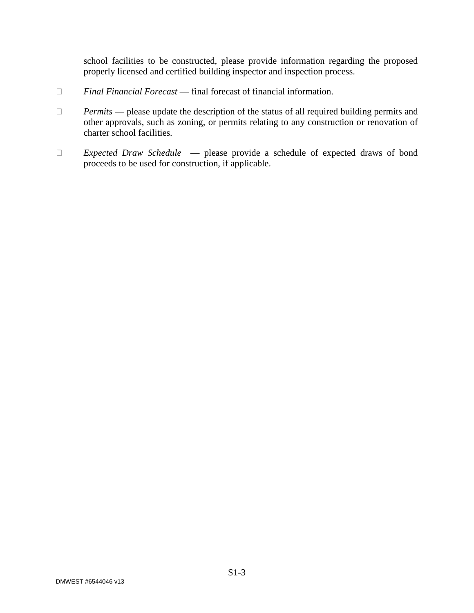school facilities to be constructed, please provide information regarding the proposed properly licensed and certified building inspector and inspection process.

- *Final Financial Forecast* final forecast of financial information.
- □ Permits please update the description of the status of all required building permits and other approvals, such as zoning, or permits relating to any construction or renovation of charter school facilities*.*
- *Expected Draw Schedule*  please provide a schedule of expected draws of bond proceeds to be used for construction, if applicable.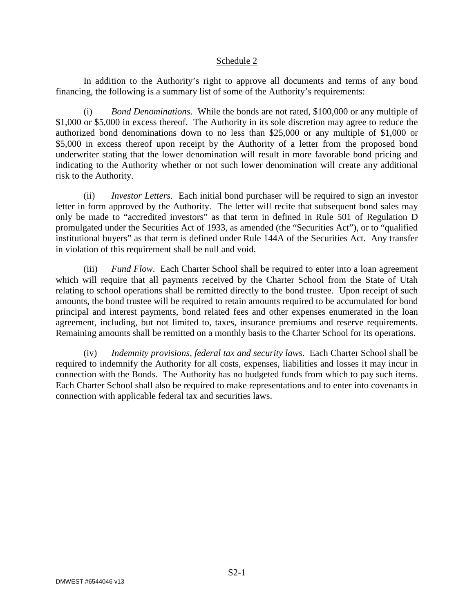#### Schedule 2

In addition to the Authority's right to approve all documents and terms of any bond financing, the following is a summary list of some of the Authority's requirements:

(i) *Bond Denominations*. While the bonds are not rated, \$100,000 or any multiple of \$1,000 or \$5,000 in excess thereof. The Authority in its sole discretion may agree to reduce the authorized bond denominations down to no less than \$25,000 or any multiple of \$1,000 or \$5,000 in excess thereof upon receipt by the Authority of a letter from the proposed bond underwriter stating that the lower denomination will result in more favorable bond pricing and indicating to the Authority whether or not such lower denomination will create any additional risk to the Authority.

(ii) *Investor Letters*. Each initial bond purchaser will be required to sign an investor letter in form approved by the Authority. The letter will recite that subsequent bond sales may only be made to "accredited investors" as that term in defined in Rule 501 of Regulation D promulgated under the Securities Act of 1933, as amended (the "Securities Act"), or to "qualified institutional buyers" as that term is defined under Rule 144A of the Securities Act. Any transfer in violation of this requirement shall be null and void.

(iii) *Fund Flow*. Each Charter School shall be required to enter into a loan agreement which will require that all payments received by the Charter School from the State of Utah relating to school operations shall be remitted directly to the bond trustee. Upon receipt of such amounts, the bond trustee will be required to retain amounts required to be accumulated for bond principal and interest payments, bond related fees and other expenses enumerated in the loan agreement, including, but not limited to, taxes, insurance premiums and reserve requirements. Remaining amounts shall be remitted on a monthly basis to the Charter School for its operations.

(iv) *Indemnity provisions, federal tax and security laws*. Each Charter School shall be required to indemnify the Authority for all costs, expenses, liabilities and losses it may incur in connection with the Bonds. The Authority has no budgeted funds from which to pay such items. Each Charter School shall also be required to make representations and to enter into covenants in connection with applicable federal tax and securities laws.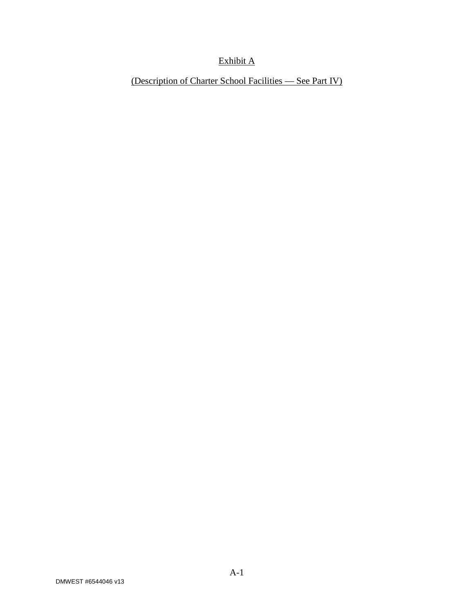### Exhibit A

(Description of Charter School Facilities — See Part IV)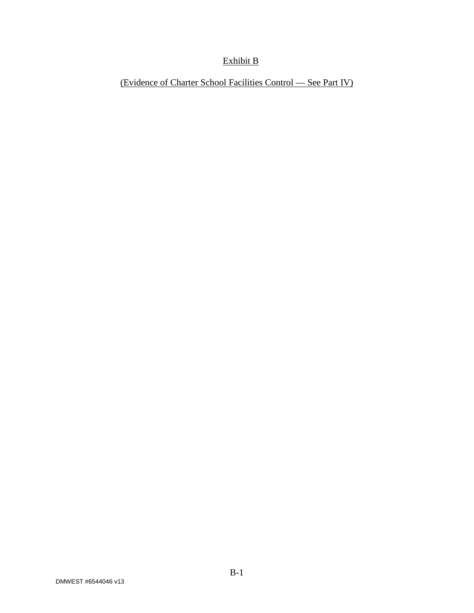### Exhibit B

(Evidence of Charter School Facilities Control — See Part IV)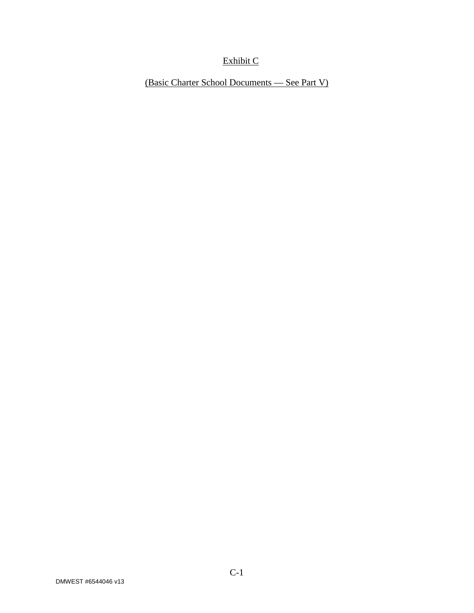## Exhibit C

(Basic Charter School Documents — See Part V)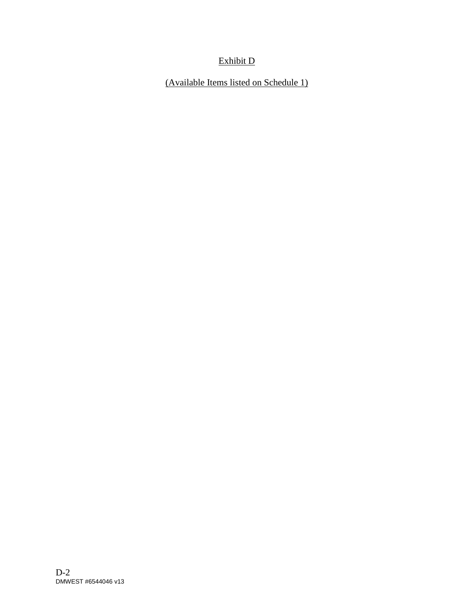### Exhibit D

(Available Items listed on Schedule 1)